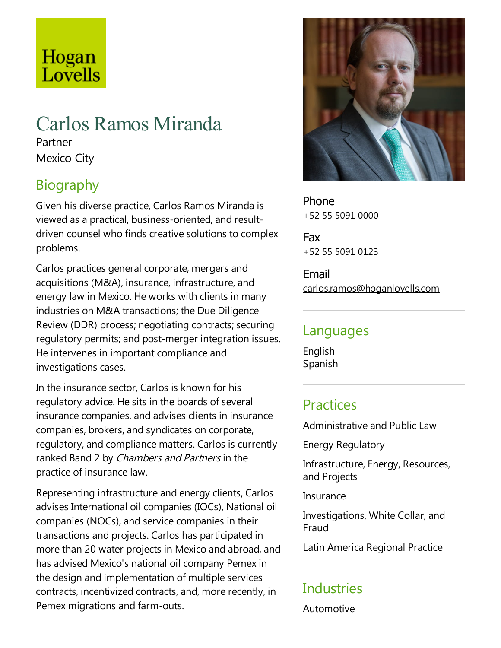# Hogan Lovells

# Carlos Ramos Miranda

Partner Mexico City

# Biography

Given his diverse practice, Carlos Ramos Miranda is viewed as a practical, business-oriented, and resultdriven counsel who finds creative solutions to complex problems.

Carlos practices general corporate, mergers and acquisitions (M&A), insurance, infrastructure, and energy law in Mexico. He works with clients in many industries on M&A transactions; the Due Diligence Review (DDR) process; negotiating contracts; securing regulatory permits; and post-merger integration issues. He intervenes in important compliance and investigations cases.

In the insurance sector, Carlos is known for his regulatory advice. He sits in the boards of several insurance companies, and advises clients in insurance companies, brokers, and syndicates on corporate, regulatory, and compliance matters. Carlos is currently ranked Band 2 by Chambers and Partners in the practice of insurance law.

Representing infrastructure and energy clients, Carlos advises International oil companies (IOCs), National oil companies (NOCs), and service companies in their transactions and projects. Carlos has participated in more than 20 water projects in Mexico and abroad, and has advised Mexico's national oil company Pemex in the design and implementation of multiple services contracts, incentivized contracts, and, more recently, in Pemex migrations and farm-outs.



Phone +52 55 5091 0000

Fax +52 55 5091 0123

Email carlos.ramos@hoganlovells.com

#### Languages

English Spanish

# **Practices**

Administrative and Public Law

Energy Regulatory

Infrastructure, Energy, Resources, and Projects

Insurance

Investigations, White Collar, and Fraud

Latin America Regional Practice

# **Industries**

Automotive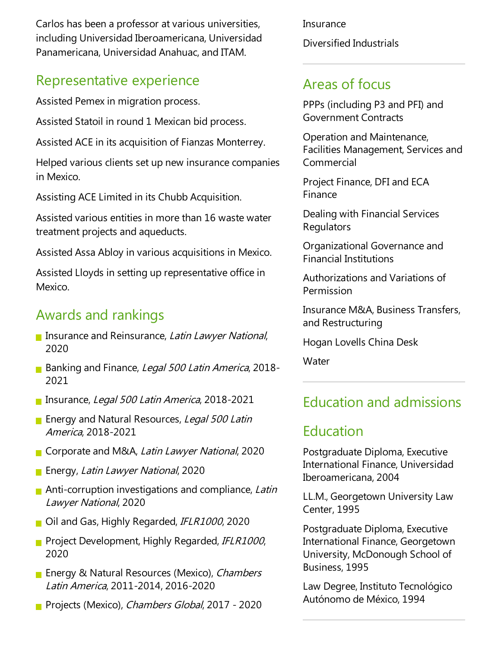Carlos has been a professor at various universities, including Universidad Iberoamericana, Universidad Panamericana, Universidad Anahuac, and ITAM.

#### Representative experience

Assisted Pemex in migration process.

Assisted Statoil in round 1 Mexican bid process.

Assisted ACE in its acquisition of Fianzas Monterrey.

Helped various clients set up new insurance companies in Mexico.

Assisting ACE Limited in its Chubb Acquisition.

Assisted various entities in more than 16 waste water treatment projects and aqueducts.

Assisted Assa Abloy in various acquisitions in Mexico.

Assisted Lloyds in setting up representative office in Mexico.

### Awards and rankings

- **Insurance and Reinsurance, Latin Lawyer National,** 2020
- Banking and Finance, Legal 500 Latin America, 2018-2021
- **Insurance, Legal 500 Latin America, 2018-2021**
- **Energy and Natural Resources, Legal 500 Latin** America, 2018-2021
- Corporate and M&A, Latin Lawyer National, 2020
- **Energy, Latin Lawyer National, 2020**
- Anti-corruption investigations and compliance, Latin Lawyer National, 2020
- Oil and Gas, Highly Regarded, IFLR1000, 2020
- **Project Development, Highly Regarded, IFLR1000,** 2020
- **Energy & Natural Resources (Mexico), Chambers** Latin America, 2011-2014, 2016-2020
- **Projects (Mexico), Chambers Global, 2017 2020**

**Insurance** Diversified Industrials

### Areas of focus

PPPs (including P3 and PFI) and Government Contracts

Operation and Maintenance, Facilities Management, Services and Commercial

Project Finance, DFI and ECA Finance

Dealing with Financial Services **Regulators** 

Organizational Governance and Financial Institutions

Authorizations and Variations of Permission

Insurance M&A, Business Transfers, and Restructuring

Hogan Lovells China Desk

**Water** 

# Education and admissions

#### Education

Postgraduate Diploma, Executive International Finance, Universidad Iberoamericana, 2004

LL.M., Georgetown University Law Center, 1995

Postgraduate Diploma, Executive International Finance, Georgetown University, McDonough School of Business, 1995

Law Degree, Instituto Tecnológico Autónomo de México, 1994